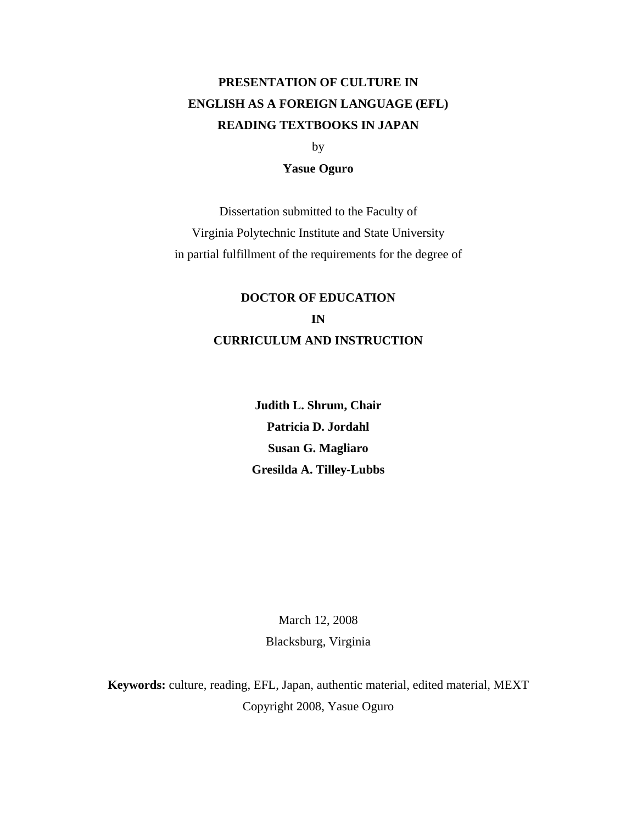# **PRESENTATION OF CULTURE IN ENGLISH AS A FOREIGN LANGUAGE (EFL) READING TEXTBOOKS IN JAPAN**

by

#### **Yasue Oguro**

Dissertation submitted to the Faculty of Virginia Polytechnic Institute and State University in partial fulfillment of the requirements for the degree of

## **DOCTOR OF EDUCATION IN CURRICULUM AND INSTRUCTION**

**Judith L. Shrum, Chair Patricia D. Jordahl Susan G. Magliaro Gresilda A. Tilley-Lubbs** 

> March 12, 2008 Blacksburg, Virginia

**Keywords:** culture, reading, EFL, Japan, authentic material, edited material, MEXT Copyright 2008, Yasue Oguro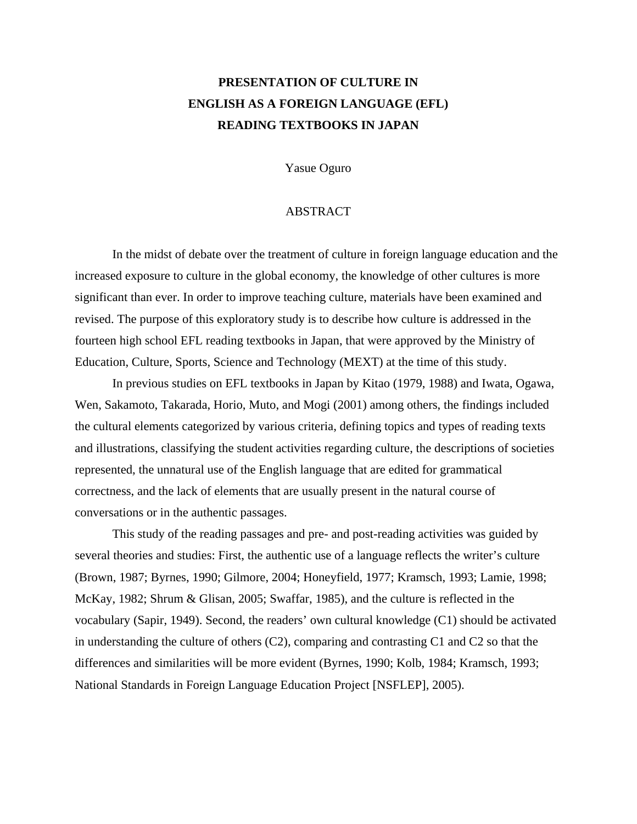### **PRESENTATION OF CULTURE IN ENGLISH AS A FOREIGN LANGUAGE (EFL) READING TEXTBOOKS IN JAPAN**

Yasue Oguro

#### ABSTRACT

In the midst of debate over the treatment of culture in foreign language education and the increased exposure to culture in the global economy, the knowledge of other cultures is more significant than ever. In order to improve teaching culture, materials have been examined and revised. The purpose of this exploratory study is to describe how culture is addressed in the fourteen high school EFL reading textbooks in Japan, that were approved by the Ministry of Education, Culture, Sports, Science and Technology (MEXT) at the time of this study.

In previous studies on EFL textbooks in Japan by Kitao (1979, 1988) and Iwata, Ogawa, Wen, Sakamoto, Takarada, Horio, Muto, and Mogi (2001) among others, the findings included the cultural elements categorized by various criteria, defining topics and types of reading texts and illustrations, classifying the student activities regarding culture, the descriptions of societies represented, the unnatural use of the English language that are edited for grammatical correctness, and the lack of elements that are usually present in the natural course of conversations or in the authentic passages.

This study of the reading passages and pre- and post-reading activities was guided by several theories and studies: First, the authentic use of a language reflects the writer's culture (Brown, 1987; Byrnes, 1990; Gilmore, 2004; Honeyfield, 1977; Kramsch, 1993; Lamie, 1998; McKay, 1982; Shrum & Glisan, 2005; Swaffar, 1985), and the culture is reflected in the vocabulary (Sapir, 1949). Second, the readers' own cultural knowledge (C1) should be activated in understanding the culture of others (C2), comparing and contrasting C1 and C2 so that the differences and similarities will be more evident (Byrnes, 1990; Kolb, 1984; Kramsch, 1993; National Standards in Foreign Language Education Project [NSFLEP], 2005).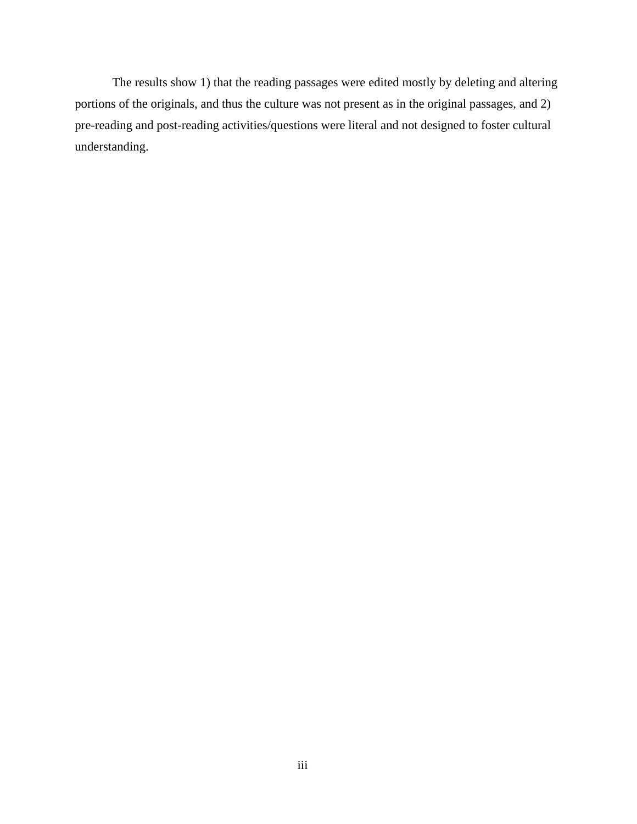The results show 1) that the reading passages were edited mostly by deleting and altering portions of the originals, and thus the culture was not present as in the original passages, and 2) pre-reading and post-reading activities/questions were literal and not designed to foster cultural understanding.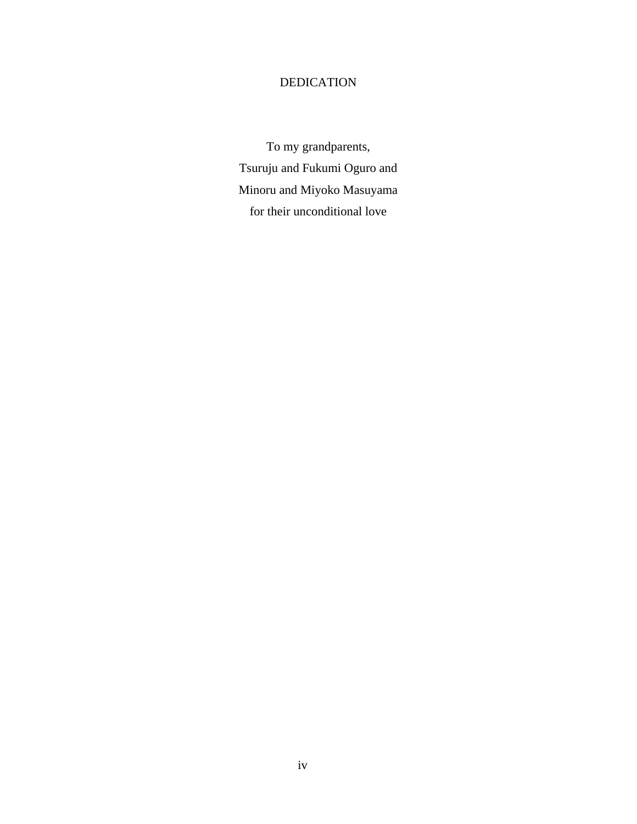### DEDICATION

To my grandparents, Tsuruju and Fukumi Oguro and Minoru and Miyoko Masuyama for their unconditional love